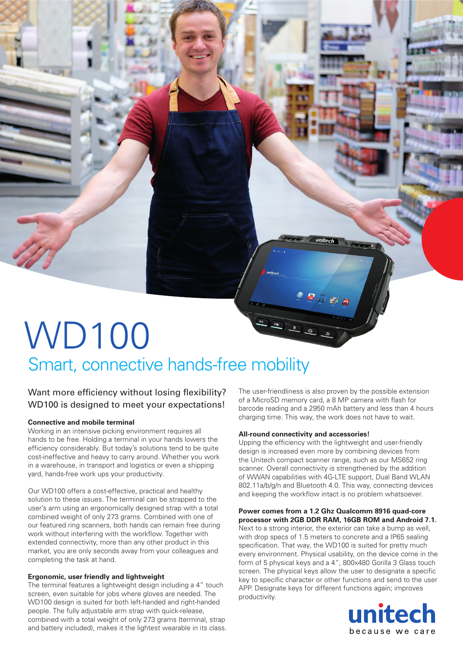# Smart, connective hands-free mobility WD100

### Want more efficiency without losing flexibility? WD100 is designed to meet your expectations!

#### **Connective and mobile terminal**

Working in an intensive picking environment requires all hands to be free. Holding a terminal in your hands lowers the efficiency considerably. But today's solutions tend to be quite cost-ineffective and heavy to carry around. Whether you work in a warehouse, in transport and logistics or even a shipping yard, hands-free work ups your productivity.

Our WD100 offers a cost-effective, practical and healthy solution to these issues. The terminal can be strapped to the user's arm using an ergonomically designed strap with a total combined weight of only 273 grams. Combined with one of our featured ring scanners, both hands can remain free during work without interfering with the workflow. Together with extended connectivity, more than any other product in this market, you are only seconds away from your colleagues and completing the task at hand.

#### **Ergonomic, user friendly and lightweight**

The terminal features a lightweight design including a 4" touch screen, even suitable for jobs where gloves are needed. The WD100 design is suited for both left-handed and right-handed people. The fully adjustable arm strap with quick-release, combined with a total weight of only 273 grams (terminal, strap and battery included), makes it the lightest wearable in its class.

The user-friendliness is also proven by the possible extension of a MicroSD memory card, a 8 MP camera with flash for barcode reading and a 2950 mAh battery and less than 4 hours charging time. This way, the work does not have to wait.

SGON

#### **All-round connectivity and accessories!**

Upping the efficiency with the lightweight and user-friendly design is increased even more by combining devices from the Unitech compact scanner range, such as our MS652 ring scanner. Overall connectivity is strengthened by the addition of WWAN capabilities with 4G-LTE support, Dual Band WLAN 802.11a/b/g/n and Bluetooth 4.0. This way, connecting devices and keeping the workflow intact is no problem whatsoever.

#### **Power comes from a 1.2 Ghz Qualcomm 8916 quad-core processor with 2GB DDR RAM, 16GB ROM and Android 7.1.**

Next to a strong interior, the exterior can take a bump as well, with drop specs of 1.5 meters to concrete and a IP65 sealing specification. That way, the WD100 is suited for pretty much every environment. Physical usability, on the device come in the form of 5 physical keys and a 4", 800x480 Gorilla 3 Glass touch screen. The physical keys allow the user to designate a specific key to specific character or other functions and send to the user APP. Designate keys for different functions again; improves productivity.